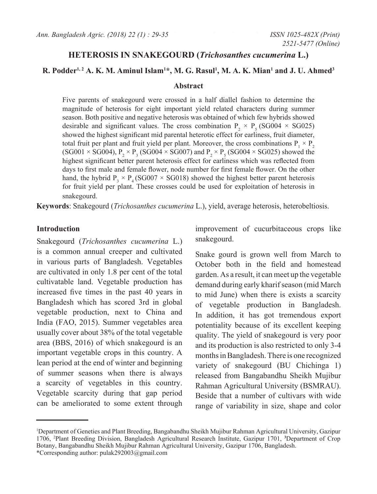# **HETEROSIS IN SNAKEGOURD (***Trichosanthes cucumerina* **L.)**

## **R. Podder1, 2 A. K. M. Aminul Islam1 \*, M. G. Rasul1 , M. A. K. Mian1 and J. U. Ahmed3**

#### **Abstract**

Five parents of snakegourd were crossed in a half diallel fashion to determine the magnitude of heterosis for eight important yield related characters during summer season. Both positive and negative heterosis was obtained of which few hybrids showed desirable and significant values. The cross combination  $P_2 \times P_5$  (SG004  $\times$  SG025) showed the highest significant mid parental heterotic effect for earliness, fruit diameter, total fruit per plant and fruit yield per plant. Moreover, the cross combinations  $P_1 \times P_2$ (SG001  $\times$  SG004),  $P_2 \times P_3$  (SG004  $\times$  SG007) and  $P_2 \times P_5$  (SG004  $\times$  SG025) showed the highest significant better parent heterosis effect for earliness which was reflected from days to first male and female flower, node number for first female flower. On the other hand, the hybrid P<sub>2</sub> × P<sub>4</sub> (SG007 × SG018) showed the highest better parent heterosis for fruit yield per plant. These crosses could be used for exploitation of heterosis in snakegourd.

**Keywords**: Snakegourd (*Trichosanthes cucumerina* l.), yield, average heterosis, heterobeltiosis.

## **Introduction**

Snakegourd (*Trichosanthes cucumerina* L.) is a common annual creeper and cultivated in various parts of Bangladesh. Vegetables are cultivated in only 1.8 per cent of the total cultivatable land. Vegetable production has increased five times in the past 40 years in Bangladesh which has scored 3rd in global vegetable production, next to China and India (FAO, 2015). Summer vegetables area usually cover about 38% of the total vegetable area (BBS, 2016) of which snakegourd is an important vegetable crops in this country. A lean period at the end of winter and beginning of summer seasons when there is always a scarcity of vegetables in this country. Vegetable scarcity during that gap period can be ameliorated to some extent through improvement of cucurbitaceous crops like snakegourd.

Snake gourd is grown well from March to October both in the field and homestead garden. As a result, it can meet up the vegetable demand during early kharif season (mid March to mid June) when there is exists a scarcity of vegetable production in Bangladesh. In addition, it has got tremendous export potentiality because of its excellent keeping quality. The yield of snakegourd is very poor and its production is also restricted to only 3-4 months in Bangladesh. There is one recognized variety of snakegourd (BU Chichinga 1) released from Bangabandhu Sheikh Mujibur Rahman Agricultural University (BSMRAU). Beside that a number of cultivars with wide range of variability in size, shape and color

<sup>1</sup> Department of Geneties and Plant Breeding, Bangabandhu Sheikh Mujibur Rahman Agricultural University, Gazipur 1706, 2 Plant Breeding Division, Bangladesh Agricultural Research Institute, Gazipur 1701, **<sup>3</sup>** Department of Crop Botany, Bangabandhu Sheikh Mujibur Rahman Agricultural University, Gazipur 1706, Bangladesh. \*Corresponding author: pulak292003@gmail.com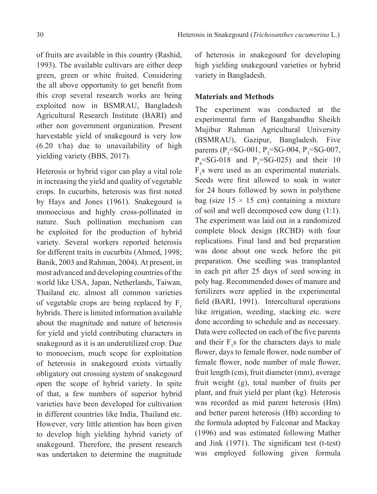of fruits are available in this country (Rashid, 1993). The available cultivars are either deep green, green or white fruited. Considering the all above opportunity to get benefit from this crop several research works are being exploited now in BSMRAU, Bangladesh Agricultural Research Institute (BARI) and other non government organization. Present harvestable yield of snakegourd is very low  $(6.20 \t t/ha)$  due to unavailability of high yielding variety (BBS, 2017).

Heterosis or hybrid vigor can play a vital role in increasing the yield and quality of vegetable crops. In cucurbits, heterosis was first noted by Hays and Jones (1961). Snakegourd is monoecious and highly cross-pollinated in nature. Such pollination mechanism can be exploited for the production of hybrid variety. Several workers reported heterosis for different traits in cucurbits (Ahmed, 1998; Banik, 2003 and Rahman, 2004). At present, in most advanced and developing countries of the world like USA, Japan, Netherlands, Taiwan, Thailand etc. almost all common varieties of vegetable crops are being replaced by  $F_1$ hybrids. There is limited information available about the magnitude and nature of heterosis for yield and yield contributing characters in snakegourd as it is an underutilized crop. Due to monoecism, much scope for exploitation of heterosis in snakegourd exists virtually obligatory out crossing system of snakegourd open the scope of hybrid variety. In spite of that, a few numbers of superior hybrid varieties have been developed for cultivation in different countries like India, Thailand etc. However, very little attention has been given to develop high yielding hybrid variety of snakegourd. Therefore, the present research was undertaken to determine the magnitude

of heterosis in snakegourd for developing high yielding snakegourd varieties or hybrid variety in Bangladesh.

# **Materials and Methods**

The experiment was conducted at the experimental farm of Bangabandhu Sheikh Mujibur Rahman Agricultural University (BSMRAU), Gazipur, Bangladesh. Five parents ( $P_1$ =SG-001,  $P_2$ =SG-004,  $P_3$ =SG-007,  $P_4$ =SG-018 and  $P_5$ =SG-025) and their 10  $F_1$ s were used as an experimental materials. Seeds were first allowed to soak in water for 24 hours followed by sown in polythene bag (size  $15 \times 15$  cm) containing a mixture of soil and well decomposed cow dung (1:1). The experiment was laid out in a randomized complete block design (RCBD) with four replications. Final land and bed preparation was done about one week before the pit preparation. One seedling was transplanted in each pit after 25 days of seed sowing in poly bag. Recommended doses of manure and fertilizers were applied in the experimental field (BARI, 1991). Intercultural operations like irrigation, weeding, stacking etc. were done according to schedule and as necessary. Data were collected on each of the five parents and their  $F_1$ s for the characters days to male flower, days to female flower, node number of female flower, node number of male flower, fruit length (cm), fruit diameter (mm), average fruit weight (g), total number of fruits per plant, and fruit yield per plant (kg). Heterosis was recorded as mid parent heterosis (Hm) and better parent heterosis (Hb) according to the formula adopted by Falconar and Mackay (1996) and was estimated following Mather and Jink (1971). The significant test (t-test) was employed following given formula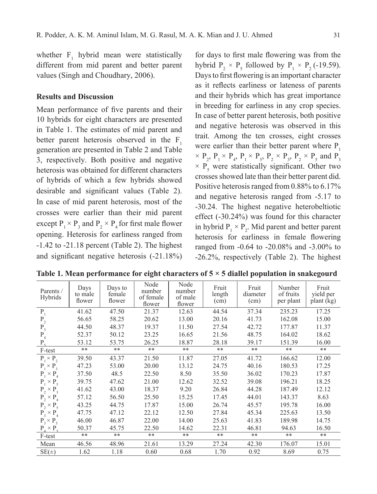whether  $F_1$  hybrid mean were statistically different from mid parent and better parent values (Singh and Choudhary, 2006).

## **Results and Discussion**

Mean performance of five parents and their 10 hybrids for eight characters are presented in Table 1. The estimates of mid parent and better parent heterosis observed in the  $F_1$ generation are presented in Table 2 and Table 3, respectively. Both positive and negative heterosis was obtained for different characters of hybrids of which a few hybrids showed desirable and significant values (Table 2). In case of mid parent heterosis, most of the crosses were earlier than their mid parent except  $P_1 \times P_3$  and  $P_2 \times P_4$  for first male flower opening. Heterosis for earliness ranged from -1.42 to -21.18 percent (Table 2). The highest and significant negative heterosis (-21.18%)

for days to first male flowering was from the hybrid  $P_2 \times P_5$  followed by  $P_1 \times P_2$  (-19.59). Days to first flowering is an important character as it reflects earliness or lateness of parents and their hybrids which has great importance in breeding for earliness in any crop species. In case of better parent heterosis, both positive and negative heterosis was observed in this trait. Among the ten crosses, eight crosses were earlier than their better parent where  $P_1$  $\times$  P<sub>2</sub>, P<sub>1</sub>  $\times$  P<sub>4</sub>, P<sub>1</sub>  $\times$  P<sub>5</sub>, P<sub>2</sub>  $\times$  P<sub>3</sub>, P<sub>2</sub>  $\times$  P<sub>5</sub> and P<sub>3</sub>  $\times$  P<sub>5</sub> were statistically significant. Other two crosses showed late than their better parent did. Positive heterosis ranged from 0.88% to 6.17% and negative heterosis ranged from -5.17 to -30.24. The highest negative heterobeltiotic effect (-30.24%) was found for this character in hybrid  $P_1 \times P_2$ . Mid parent and better parent heterosis for earliness in female flowering ranged from -0.64 to -20.08% and -3.00% to -26.2%, respectively (Table 2). The highest

| Parents /<br><b>Hybrids</b> | Days<br>to male<br>flower | Days to<br>female<br>flower | Node<br>number<br>of female<br>flower | Node<br>number<br>of male<br>flower | Fruit<br>length<br>(cm) | Fruit<br>diameter<br>(cm) | Number<br>of fruits<br>per plant | Fruit<br>yield per<br>plant (kg) |
|-----------------------------|---------------------------|-----------------------------|---------------------------------------|-------------------------------------|-------------------------|---------------------------|----------------------------------|----------------------------------|
| $P_1$                       | 41.62                     | 47.50                       | 21.37                                 | 12.63                               | 44.54                   | 37.34                     | 235.23                           | 17.25                            |
| $P_2$                       | 56.65                     | 58.25                       | 20.62                                 | 13.00                               | 20.16                   | 41.73                     | 162.08                           | 15.00                            |
| $P_3$                       | 44.50                     | 48.37                       | 19.37                                 | 11.50                               | 27.54                   | 42.72                     | 177.87                           | 11.37                            |
| $P_4$                       | 52.37                     | 50.12                       | 23.25                                 | 16.65                               | 21.56                   | 48.75                     | 164.02                           | 18.62                            |
| $P_{\varsigma}$             | 53.12                     | 53.75                       | 26.25                                 | 18.87                               | 28.18                   | 39.17                     | 151.39                           | 16.00                            |
| F-test                      | $**$                      | $**$                        | $**$                                  | $**$                                | **                      | **                        | **                               | **                               |
| $P_1 \times P_2$            | 39.50                     | 43.37                       | 21.50                                 | 11.87                               | 27.05                   | 41.72                     | 166.62                           | 12.00                            |
| $P_1 \times P_3$            | 47.23                     | 53.00                       | 20.00                                 | 13.12                               | 24.75                   | 40.16                     | 180.53                           | 17.25                            |
| $P_1 \times P_4$            | 37.50                     | 48.5                        | 22.50                                 | 8.50                                | 35.50                   | 36.02                     | 170.23                           | 17.87                            |
| $P_1 \times P_5$            | 39.75                     | 47.62                       | 21.00                                 | 12.62                               | 32.52                   | 39.08                     | 196.21                           | 18.25                            |
| $P_2 \times P_3$            | 41.62                     | 43.00                       | 18.37                                 | 9.20                                | 26.84                   | 44.28                     | 187.49                           | 12.12                            |
| $P_2 \times P_4$            | 57.12                     | 56.50                       | 25.50                                 | 15.25                               | 17.45                   | 44.01                     | 143.37                           | 8.63                             |
| $P_2 \times P_5$            | 43.25                     | 44.75                       | 17.87                                 | 15.00                               | 26.74                   | 45.57                     | 195.78                           | 16.00                            |
| $P_3 \times P_4$            | 47.75                     | 47.12                       | 22.12                                 | 12.50                               | 27.84                   | 45.34                     | 225.63                           | 13.50                            |
| $P_3 \times P_5$            | 46.00                     | 46.87                       | 22.00                                 | 14.00                               | 25.63                   | 41.83                     | 189.98                           | 14.75                            |
| $P_{4} \times P_{5}$        | 50.37                     | 45.75                       | 22.50                                 | 14.62                               | 22.31                   | 46.81                     | 94.63                            | 16.50                            |
| F-test                      | **                        | $**$                        | $**$                                  | $**$                                | **                      | **                        | **                               | **                               |
| Mean                        | 46.56                     | 48.96                       | 21.61                                 | 13.29                               | 27.24                   | 42.30                     | 176.07                           | 15.01                            |
| $SE(\pm)$                   | 1.62                      | 1.18                        | 0.60                                  | 0.68                                | 1.70                    | 0.92                      | 8.69                             | 0.75                             |

**Table 1. Mean performance for eight characters of 5 × 5 diallel population in snakegourd**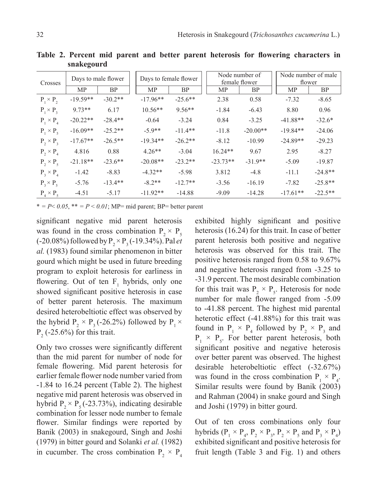| Crosses          | Days to male flower |           | Days to female flower |           | Node number of<br>female flower |            | Node number of male<br>flower |           |
|------------------|---------------------|-----------|-----------------------|-----------|---------------------------------|------------|-------------------------------|-----------|
|                  | MP                  | <b>BP</b> | <b>MP</b>             | <b>BP</b> | MP                              | <b>BP</b>  | MP                            | <b>BP</b> |
| $P_1 \times P_2$ | $-19.59**$          | $-30.2**$ | $-17.96**$            | $-25.6**$ | 2.38                            | 0.58       | $-7.32$                       | $-8.65$   |
| $P_1 \times P_3$ | $9.73**$            | 6.17      | $10.56**$             | $9.56**$  | $-1.84$                         | $-6.43$    | 8.80                          | 0.96      |
| $P_1 \times P_4$ | $-20.22**$          | $-28.4**$ | $-0.64$               | $-3.24$   | 0.84                            | $-3.25$    | $-41.88**$                    | $-32.6*$  |
| $P_1 \times P_5$ | $-16.09**$          | $-25.2**$ | $-5.9**$              | $-11.4**$ | $-11.8$                         | $-20.00**$ | $-19.84**$                    | $-24.06$  |
| $P_2 \times P_3$ | $-17.67**$          | $-26.5**$ | $-19.34**$            | $-26.2**$ | $-8.12$                         | $-10.99$   | $-24.89**$                    | $-29.23$  |
| $P_2 \times P_4$ | 4.816               | 0.88      | $4.26**$              | $-3.04$   | $16.24**$                       | 9.67       | 2.95                          | $-8.27$   |
| $P_2 \times P_5$ | $-21.18**$          | $-23.6**$ | $-20.08**$            | $-23.2**$ | $-23.73**$                      | $-31.9**$  | $-5.09$                       | $-19.87$  |
| $P_3 \times P_4$ | $-1.42$             | $-8.83$   | $-4.32**$             | $-5.98$   | 3.812                           | $-4.8$     | $-11.1$                       | $-24.8**$ |
| $P_3 \times P_5$ | $-5.76$             | $-13.4**$ | $-8.2**$              | $-12.7**$ | $-3.56$                         | $-16.19$   | $-7.82$                       | $-25.8**$ |
| $P_4 \times P_5$ | $-4.51$             | $-5.17$   | $-11.92**$            | $-14.88$  | $-9.09$                         | $-14.28$   | $-17.61**$                    | $-22.5**$ |

**Table 2. Percent mid parent and better parent heterosis for flowering characters in snakegourd**

\*  $= P \le 0.05$ , \*\*  $= P \le 0.01$ ; MP= mid parent; BP= better parent

significant negative mid parent heterosis was found in the cross combination  $P_2 \times P_5$  $(-20.08\%)$  followed by  $P_2 \times P_3(-19.34\%)$ . Pal *et al.* (1983) found similar phenomenon in bitter gourd which might be used in future breeding program to exploit heterosis for earliness in flowering. Out of ten  $F_1$  hybrids, only one showed significant positive heterosis in case of better parent heterosis. The maximum desired heterobeltiotic effect was observed by the hybrid  $P_2 \times P_3$  (-26.2%) followed by  $P_1 \times$  $P_2$  (-25.6%) for this trait.

Only two crosses were significantly different than the mid parent for number of node for female flowering. Mid parent heterosis for earlier female flower node number varied from -1.84 to 16.24 percent (Table 2). The highest negative mid parent heterosis was observed in hybrid P<sub>2</sub> × P<sub>5</sub> (-23.73%), indicating desirable combination for lesser node number to female flower. Similar findings were reported by Banik (2003) in snakegourd, Singh and Joshi (1979) in bitter gourd and Solanki *et al.* (1982) in cucumber. The cross combination  $P_2 \times P_4$ 

exhibited highly significant and positive heterosis (16.24) for this trait. In case of better parent heterosis both positive and negative heterosis was observed for this trait. The positive heterosis ranged from 0.58 to 9.67% and negative heterosis ranged from -3.25 to -31.9 percent. The most desirable combination for this trait was  $P_2 \times P_5$ . Heterosis for node number for male flower ranged from -5.09 to -41.88 percent. The highest mid parental heterotic effect (-41.88%) for this trait was found in  $P_1 \times P_4$  followed by  $P_2 \times P_3$  and  $P_1 \times P_5$ . For better parent heterosis, both significant positive and negative heterosis over better parent was observed. The highest desirable heterobeltiotic effect (-32.67%) was found in the cross combination  $P_1 \times P_4$ . Similar results were found by Banik (2003) and Rahman (2004) in snake gourd and Singh and Joshi (1979) in bitter gourd.

Out of ten cross combinations only four hybrids  $(P_1 \times P_4, P_2 \times P_3, P_2 \times P_5$  and  $P_3 \times P_4$ ) exhibited significant and positive heterosis for fruit length (Table 3 and Fig. 1) and others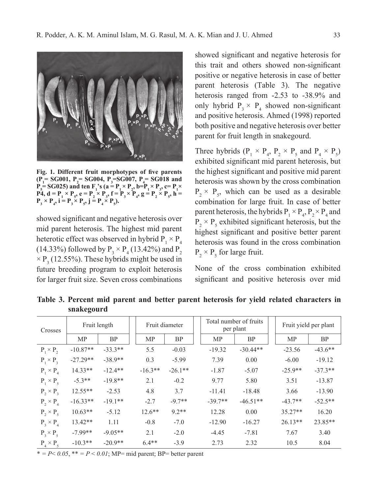

**Fig. 1. Different fruit morphotypes of five parents**   $(P_1 = SG001, P_2 = SG004, P_3 = SG007, P_4 = SG018$  and  $P_5$ = SG025) and ten  $F_1$ 's (a =  $P_1 \times P_2$ , b= $P_1 \times P_3$ , c=  $P_1 \times$ **P4,**  $d = P_1 \times P_5$ ,  $e = P_2 \times P_3$ ,  $f = P_3 \times P_4$ ,  $g = P_2 \times P_5$ ,  $h =$  $P_3 \times P_4$ ,  $i = P_3 \times P_5$ ,  $j = P_4 \times P_5$ ).

showed significant and negative heterosis over mid parent heterosis. The highest mid parent heterotic effect was observed in hybrid  $P_1 \times P_4$ (14.33%) followed by  $P_3 \times P_4$  (13.42%) and  $P_2$  $\times P_3$  (12.55%). These hybrids might be used in future breeding program to exploit heterosis for larger fruit size. Seven cross combinations

showed significant and negative heterosis for this trait and others showed non-significant positive or negative heterosis in case of better parent heterosis (Table 3). The negative heterosis ranged from -2.53 to -38.9% and only hybrid  $P_3 \times P_4$  showed non-significant and positive heterosis. Ahmed (1998) reported both positive and negative heterosis over better parent for fruit length in snakegourd.

Three hybrids  $(P_1 \times P_4, P_2 \times P_5 \text{ and } P_4 \times P_5)$ exhibited significant mid parent heterosis, but the highest significant and positive mid parent heterosis was shown by the cross combination  $P_2 \times P_5$ , which can be used as a desirable combination for large fruit. In case of better parent heterosis, the hybrids  $P_1 \times P_4$ ,  $P_2 \times P_4$  and  $P_2 \times P_5$  exhibited significant heterosis, but the highest significant and positive better parent heterosis was found in the cross combination  $P_2 \times P_5$  for large fruit.

None of the cross combination exhibited significant and positive heterosis over mid

**Table 3. Percent mid parent and better parent heterosis for yield related characters in snakegourd**

| Crosses          | Fruit length |           | Fruit diameter |           | Total number of fruits<br>per plant |            | Fruit yield per plant |           |
|------------------|--------------|-----------|----------------|-----------|-------------------------------------|------------|-----------------------|-----------|
|                  | MP           | <b>BP</b> | <b>MP</b>      | <b>BP</b> | MP                                  | <b>BP</b>  | <b>MP</b>             | <b>BP</b> |
| $P_1 \times P_2$ | $-10.87**$   | $-33.3**$ | 5.5            | $-0.03$   | $-19.32$                            | $-30.44**$ | $-23.56$              | $-43.6**$ |
| $P_1 \times P_3$ | $-27.29**$   | $-38.9**$ | 0.3            | $-5.99$   | 7.39                                | 0.00       | $-6.00$               | $-19.12$  |
| $P_1 \times P_4$ | $14.33**$    | $-12.4**$ | $-16.3**$      | $-26.1**$ | $-1.87$                             | $-5.07$    | $-25.9**$             | $-37.3**$ |
| $P_1 \times P_5$ | $-5.3**$     | $-19.8**$ | 2.1            | $-0.2$    | 9.77                                | 5.80       | 3.51                  | $-13.87$  |
| $P_2 \times P_3$ | $12.55**$    | $-2.53$   | 4.8            | 3.7       | $-11.41$                            | $-18.48$   | 3.66                  | $-13.90$  |
| $P_2 \times P_4$ | $-16.33**$   | $-19.1**$ | $-2.7$         | $-9.7**$  | $-39.7**$                           | $-46.51**$ | $-43.7**$             | $-52.5**$ |
| $P_2 \times P_5$ | $10.63**$    | $-5.12$   | $12.6***$      | $9.2**$   | 12.28                               | 0.00       | $35.27**$             | 16.20     |
| $P_3 \times P_4$ | $13.42**$    | 1.11      | $-0.8$         | $-7.0$    | $-12.90$                            | $-16.27$   | $26.13**$             | 23.85**   |
| $P_3 \times P_5$ | $-7.99**$    | $-9.05**$ | 2.1            | $-2.0$    | $-4.45$                             | $-7.81$    | 7.67                  | 3.40      |
| $P_4 \times P_5$ | $-10.3**$    | $-20.9**$ | $64**$         | $-3.9$    | 2.73                                | 2.32       | 10.5                  | 8.04      |

\*  $= P \le 0.05$ , \*\*  $= P \le 0.01$ ; MP= mid parent; BP= better parent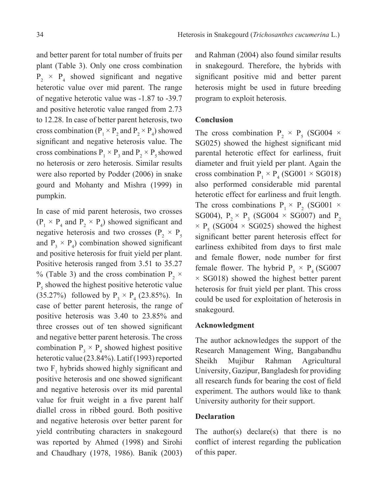and better parent for total number of fruits per plant (Table 3). Only one cross combination  $P_2 \times P_4$  showed significant and negative heterotic value over mid parent. The range of negative heterotic value was -1.87 to -39.7 and positive heterotic value ranged from 2.73 to 12.28. In case of better parent heterosis, two cross combination ( $P_1 \times P_2$  and  $P_2 \times P_4$ ) showed significant and negative heterosis value. The cross combinations  $P_1 \times P_3$  and  $P_2 \times P_5$  showed no heterosis or zero heterosis. Similar results were also reported by Podder (2006) in snake gourd and Mohanty and Mishra (1999) in pumpkin.

In case of mid parent heterosis, two crosses  $(P_1 \times P_4$  and  $P_2 \times P_4$ ) showed significant and negative heterosis and two crosses ( $P_2 \times P_5$ and  $P_3 \times P_4$ ) combination showed significant and positive heterosis for fruit yield per plant. Positive heterosis ranged from 3.51 to 35.27 % (Table 3) and the cross combination  $P_2 \times$  $P_5$  showed the highest positive heterotic value (35.27%) followed by  $P_3 \times P_4$  (23.85%). In case of better parent heterosis, the range of positive heterosis was 3.40 to 23.85% and three crosses out of ten showed significant and negative better parent heterosis. The cross combination  $P_3 \times P_4$  showed highest positive heterotic value (23.84%). Latif (1993) reported two  $F_1$  hybrids showed highly significant and positive heterosis and one showed significant and negative heterosis over its mid parental value for fruit weight in a five parent half diallel cross in ribbed gourd. Both positive and negative heterosis over better parent for yield contributing characters in snakegourd was reported by Ahmed (1998) and Sirohi and Chaudhary (1978, 1986). Banik (2003)

and Rahman (2004) also found similar results in snakegourd. Therefore, the hybrids with significant positive mid and better parent heterosis might be used in future breeding program to exploit heterosis.

#### **Conclusion**

The cross combination  $P_2 \times P_5$  (SG004  $\times$ SG025) showed the highest significant mid parental heterotic effect for earliness, fruit diameter and fruit yield per plant. Again the cross combination  $P_1 \times P_4$  (SG001  $\times$  SG018) also performed considerable mid parental heterotic effect for earliness and fruit length. The cross combinations  $P_1 \times P_2$  (SG001  $\times$ SG004),  $P_2 \times P_3$  (SG004  $\times$  SG007) and  $P_2$  $\times$  P<sub>5</sub> (SG004  $\times$  SG025) showed the highest significant better parent heterosis effect for earliness exhibited from days to first male and female flower, node number for first female flower. The hybrid  $P_3 \times P_4$  (SG007)  $\times$  SG018) showed the highest better parent heterosis for fruit yield per plant. This cross could be used for exploitation of heterosis in snakegourd.

### **Acknowledgment**

The author acknowledges the support of the Research Management Wing, Bangabandhu Sheikh Mujibur Rahman Agricultural University, Gazipur, Bangladesh for providing all research funds for bearing the cost of field experiment. The authors would like to thank University authority for their support.

#### **Declaration**

The author(s) declare(s) that there is no conflict of interest regarding the publication of this paper.